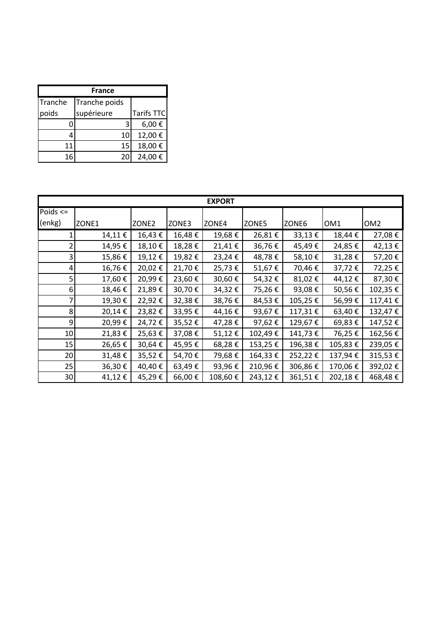| <b>France</b> |               |                   |  |  |  |
|---------------|---------------|-------------------|--|--|--|
| Tranche       | Tranche poids |                   |  |  |  |
| poids         | supérieure    | <b>Tarifs TTC</b> |  |  |  |
|               | 3             | 6,00€             |  |  |  |
|               | 10            | 12,00€            |  |  |  |
| 11            | 15            | 18,00€            |  |  |  |
| 16            | 20            | 24,00€            |  |  |  |

| <b>EXPORT</b> |        |        |        |         |         |         |         |                 |
|---------------|--------|--------|--------|---------|---------|---------|---------|-----------------|
| Poids $\leq$  |        |        |        |         |         |         |         |                 |
| (enkg)        | ZONE1  | ZONE2  | ZONE3  | ZONE4   | ZONE5   | ZONE6   | OM1     | OM <sub>2</sub> |
|               | 14,11€ | 16,43€ | 16,48€ | 19,68€  | 26,81€  | 33,13€  | 18,44€  | 27,08€          |
| 2             | 14,95€ | 18,10€ | 18,28€ | 21,41€  | 36,76€  | 45,49€  | 24,85€  | 42,13€          |
| 3             | 15,86€ | 19,12€ | 19,82€ | 23,24€  | 48,78€  | 58,10€  | 31,28€  | 57,20€          |
| 4             | 16,76€ | 20,02€ | 21,70€ | 25,73€  | 51,67€  | 70,46€  | 37,72€  | 72,25€          |
| 5             | 17,60€ | 20,99€ | 23,60€ | 30,60€  | 54,32€  | 81,02€  | 44,12€  | 87,30€          |
| 6             | 18,46€ | 21,89€ | 30,70€ | 34,32€  | 75,26€  | 93,08€  | 50,56€  | 102,35€         |
|               | 19,30€ | 22,92€ | 32,38€ | 38,76€  | 84,53€  | 105,25€ | 56,99€  | 117,41€         |
| 8             | 20,14€ | 23,82€ | 33,95€ | 44,16€  | 93,67€  | 117,31€ | 63,40€  | 132,47€         |
| 9             | 20,99€ | 24,72€ | 35,52€ | 47,28€  | 97,62€  | 129,67€ | 69,83€  | 147,52€         |
| 10            | 21,83€ | 25,63€ | 37,08€ | 51,12€  | 102,49€ | 141,73€ | 76,25€  | 162,56€         |
| 15            | 26,65€ | 30,64€ | 45,95€ | 68,28€  | 153,25€ | 196,38€ | 105,83€ | 239,05€         |
| 20            | 31,48€ | 35,52€ | 54,70€ | 79,68€  | 164,33€ | 252,22€ | 137,94€ | 315,53€         |
| 25            | 36,30€ | 40,40€ | 63,49€ | 93,96€  | 210,96€ | 306,86€ | 170,06€ | 392,02€         |
| 30            | 41,12€ | 45,29€ | 66,00€ | 108,60€ | 243,12€ | 361,51€ | 202,18€ | 468,48€         |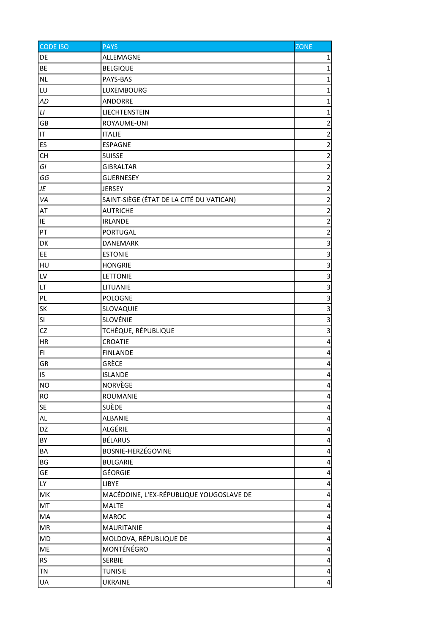| <b>CODE ISO</b> | <b>PAYS</b>                              | <b>ZONE</b>             |
|-----------------|------------------------------------------|-------------------------|
| DE              | ALLEMAGNE                                | $\mathbf{1}$            |
| BE              | <b>BELGIQUE</b>                          | $\mathbf{1}$            |
| <b>NL</b>       | PAYS-BAS                                 | $\mathbf{1}$            |
| LU              | LUXEMBOURG                               | $\mathbf{1}$            |
| AD              | ANDORRE                                  | $\mathbf{1}$            |
| L1              | LIECHTENSTEIN                            | $\mathbf{1}$            |
| GB              | ROYAUME-UNI                              | $\overline{2}$          |
| IT              | <b>ITALIE</b>                            | $\overline{2}$          |
| ES              | <b>ESPAGNE</b>                           | $\overline{2}$          |
| <b>CH</b>       | <b>SUISSE</b>                            | $\overline{2}$          |
| GI              | <b>GIBRALTAR</b>                         | $\overline{c}$          |
| GG              | <b>GUERNESEY</b>                         | $\overline{2}$          |
| JE              | <b>JERSEY</b>                            | $\overline{2}$          |
| VA              | SAINT-SIÈGE (ÉTAT DE LA CITÉ DU VATICAN) | $\overline{c}$          |
| AT              | <b>AUTRICHE</b>                          | $\overline{2}$          |
| IE              | <b>IRLANDE</b>                           | $\overline{c}$          |
| PT              | PORTUGAL                                 | $\mathbf 2$             |
| DK              | DANEMARK                                 | $\overline{\mathbf{3}}$ |
| EE              | <b>ESTONIE</b>                           | $\overline{\mathbf{3}}$ |
| HU              | <b>HONGRIE</b>                           | $\overline{3}$          |
| LV              | LETTONIE                                 | $\overline{3}$          |
| LT              | LITUANIE                                 | $\mathbf{a}$            |
| PL              | POLOGNE                                  | $\overline{3}$          |
| SK              | SLOVAQUIE                                | $\overline{\mathbf{3}}$ |
| SI              | SLOVÉNIE                                 | $\overline{\mathbf{3}}$ |
| CZ              | TCHÈQUE, RÉPUBLIQUE                      | $\overline{\mathsf{a}}$ |
| HR              | CROATIE                                  | $\pmb{4}$               |
| FI.             | <b>FINLANDE</b>                          | 4                       |
| GR              | GRÈCE                                    | $\overline{\mathbf{r}}$ |
| IS              | <b>ISLANDE</b>                           | $\overline{4}$          |
| <b>NO</b>       | NORVÈGE                                  | 4                       |
| RO              | ROUMANIE                                 | 4                       |
| SE              | <b>SUÈDE</b>                             | 4                       |
| AL              | ALBANIE                                  | 4                       |
| DZ              | ALGÉRIE                                  | 4                       |
| BY              | BÉLARUS                                  | 4                       |
| BA              | BOSNIE-HERZÉGOVINE                       | $\pmb{4}$               |
| BG              | <b>BULGARIE</b>                          | 4                       |
| GE              | <b>GÉORGIE</b>                           | 4                       |
| LY              | LIBYE                                    | 4                       |
| MK              | MACÉDOINE, L'EX-RÉPUBLIQUE YOUGOSLAVE DE | $\pmb{4}$               |
| MT              | <b>MALTE</b>                             | 4                       |
| MA              | <b>MAROC</b>                             | 4                       |
| MR              | <b>MAURITANIE</b>                        | $\pmb{4}$               |
| MD              | MOLDOVA, RÉPUBLIQUE DE                   | 4                       |
| ME              | MONTÉNÉGRO                               | $\pmb{4}$               |
| <b>RS</b>       | <b>SERBIE</b>                            | 4                       |
| TN              | <b>TUNISIE</b>                           | $\overline{\mathbf{r}}$ |
| UA              | <b>UKRAINE</b>                           | $\overline{\mathbf{r}}$ |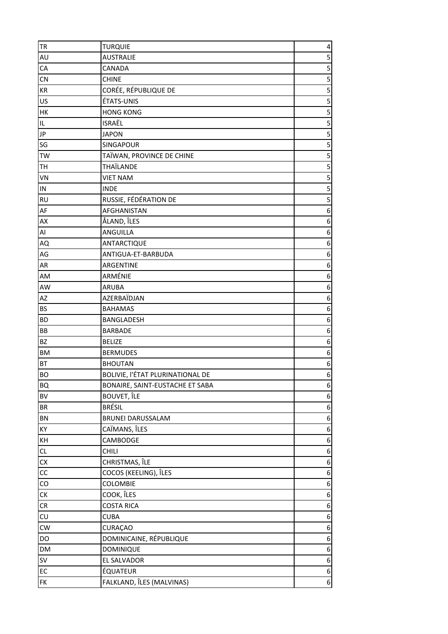| <b>TR</b>            | <b>TURQUIE</b>                   | $\overline{\mathbf{r}}$ |
|----------------------|----------------------------------|-------------------------|
| AU                   | <b>AUSTRALIE</b>                 | 5                       |
| CA                   | CANADA                           | $\overline{\mathbf{5}}$ |
| CN                   | <b>CHINE</b>                     | 5                       |
| $\mathsf{KR}\xspace$ | CORÉE, RÉPUBLIQUE DE             | $\overline{\mathbf{5}}$ |
| US                   | ÉTATS-UNIS                       | 5                       |
| НK                   | <b>HONG KONG</b>                 | $\overline{\mathbf{5}}$ |
| $\sf IL$             | <b>ISRAËL</b>                    | 5                       |
| JP                   | <b>JAPON</b>                     | 5                       |
| SG                   | SINGAPOUR                        | $\overline{\mathbf{5}}$ |
| TW                   | TAÏWAN, PROVINCE DE CHINE        | $\overline{\mathbf{5}}$ |
| TH                   | THAÏLANDE                        | 5                       |
| VN                   | <b>VIET NAM</b>                  | 5                       |
| ${\sf IN}$           | <b>INDE</b>                      |                         |
| <b>RU</b>            | RUSSIE, FÉDÉRATION DE            | 5                       |
| AF                   | <b>AFGHANISTAN</b>               | $\boldsymbol{6}$        |
| AX                   | ÅLAND, ÎLES                      | 6                       |
| AI                   | ANGUILLA                         | 6                       |
| AQ                   | ANTARCTIQUE                      | 6                       |
| AG                   | ANTIGUA-ET-BARBUDA               | 6                       |
| AR                   | ARGENTINE                        | 6                       |
| AM                   | ARMÉNIE                          | 6                       |
| AW                   | <b>ARUBA</b>                     | 6                       |
| AZ                   | AZERBAÏDJAN                      | 6                       |
| BS                   | <b>BAHAMAS</b>                   | 6                       |
| <b>BD</b>            | BANGLADESH                       | 6                       |
| BB                   | <b>BARBADE</b>                   | 6                       |
| BZ                   | <b>BELIZE</b>                    | 6                       |
| <b>BM</b>            | <b>BERMUDES</b>                  | $6 \mid$                |
| BT                   | <b>BHOUTAN</b>                   | $\boldsymbol{6}$        |
| <b>BO</b>            | BOLIVIE, l'ÉTAT PLURINATIONAL DE | $6\vert$                |
| <b>BQ</b>            | BONAIRE, SAINT-EUSTACHE ET SABA  | 6                       |
| BV                   | <b>BOUVET, ÎLE</b>               | 6                       |
| BR                   | <b>BRÉSIL</b>                    | $\boldsymbol{6}$        |
| BN                   | <b>BRUNEI DARUSSALAM</b>         | $\boldsymbol{6}$        |
| KY                   | CAÏMANS, ÎLES                    | $\boldsymbol{6}$        |
| КH                   | CAMBODGE                         | $\boldsymbol{6}$        |
| CL                   | CHILI                            | $\boldsymbol{6}$        |
| ${\sf C} {\sf X}$    | CHRISTMAS, ÎLE                   | 6                       |
| cc                   | COCOS (KEELING), ÎLES            | 6                       |
| ${\rm CO}$           | COLOMBIE                         | $\boldsymbol{6}$        |
| СK                   | COOK, ÎLES                       | $\boldsymbol{6}$        |
| ${\sf CR}$           | <b>COSTA RICA</b>                | 6                       |
| ${\sf C}{\sf U}$     | <b>CUBA</b>                      | 6                       |
| <b>CW</b>            | CURAÇAO                          | 6                       |
| DO                   | DOMINICAINE, RÉPUBLIQUE          | 6                       |
| DM                   | DOMINIQUE                        | $\boldsymbol{6}$        |
| SV                   | EL SALVADOR                      | $6 \mid$                |
| EC                   | ÉQUATEUR                         | $\boldsymbol{6}$        |
| FK                   | FALKLAND, ÎLES (MALVINAS)        | $6 \mid$                |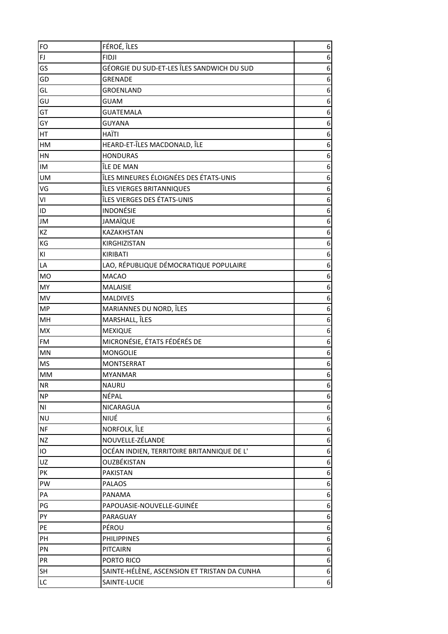| FO                     | FÉROÉ, ÎLES                                  | 6                |
|------------------------|----------------------------------------------|------------------|
| FJ                     | <b>FIDJI</b>                                 | 6                |
| GS                     | GÉORGIE DU SUD-ET-LES ÎLES SANDWICH DU SUD   | 6                |
| GD                     | <b>GRENADE</b>                               | 6                |
| GL                     | <b>GROENLAND</b>                             | 6                |
| GU                     | <b>GUAM</b>                                  | 6                |
| GT                     | <b>GUATEMALA</b>                             | 6                |
| GY                     | <b>GUYANA</b>                                | 6                |
| HT                     | <b>HAÏTI</b>                                 | 6                |
| HM                     | HEARD-ET-ÎLES MACDONALD, ÎLE                 | 6                |
| HN                     | <b>HONDURAS</b>                              | 6                |
| IM                     | ÎLE DE MAN                                   | 6                |
| <b>UM</b>              | ÎLES MINEURES ÉLOIGNÉES DES ÉTATS-UNIS       | 6                |
| VG                     | ÎLES VIERGES BRITANNIQUES                    | 6                |
| VI                     | ÎLES VIERGES DES ÉTATS-UNIS                  | 6                |
| ID                     | <b>INDONÉSIE</b>                             | 6                |
| JM                     | <b>JAMAÏQUE</b>                              | 6                |
| KZ                     | <b>KAZAKHSTAN</b>                            | 6                |
| KG                     | KIRGHIZISTAN                                 | 6                |
| ΚI                     | <b>KIRIBATI</b>                              | 6                |
| LA                     | LAO, RÉPUBLIQUE DÉMOCRATIQUE POPULAIRE       | 6                |
| <b>MO</b>              | <b>MACAO</b>                                 | 6                |
| MY                     | <b>MALAISIE</b>                              | 6                |
| MV                     | <b>MALDIVES</b>                              | 6                |
| <b>MP</b>              | MARIANNES DU NORD, ÎLES                      | 6                |
| MH                     | MARSHALL, ÎLES                               | 6                |
| MX                     | <b>MEXIQUE</b>                               | 6                |
| FM                     | MICRONÉSIE, ÉTATS FÉDÉRÉS DE                 | 6                |
| MN                     | <b>MONGOLIE</b>                              | 6                |
| MS                     | <b>MONTSERRAT</b>                            | 6                |
| MM                     | <b>MYANMAR</b>                               | $\boldsymbol{6}$ |
| <b>NR</b>              | <b>NAURU</b>                                 | 6                |
| <b>NP</b>              | NÉPAL                                        | 6                |
| $\mathsf{N}\mathsf{I}$ | <b>NICARAGUA</b>                             | $\boldsymbol{6}$ |
| <b>NU</b>              | NIUÉ                                         | 6                |
| <b>NF</b>              | NORFOLK, ÎLE                                 | 6                |
| <b>NZ</b>              | NOUVELLE-ZÉLANDE                             | 6                |
| IO                     | OCÉAN INDIEN, TERRITOIRE BRITANNIQUE DE L'   | $\boldsymbol{6}$ |
| UZ                     | OUZBÉKISTAN                                  | 6                |
| PK                     | <b>PAKISTAN</b>                              | $\boldsymbol{6}$ |
| PW                     | <b>PALAOS</b>                                | 6                |
|                        |                                              |                  |
| PA                     | PANAMA                                       | 6                |
| PG                     | PAPOUASIE-NOUVELLE-GUINÉE                    | 6                |
| PY                     | PARAGUAY                                     | 6                |
| PE                     | PÉROU                                        | 6                |
| PH                     | <b>PHILIPPINES</b>                           | 6                |
| PN                     | <b>PITCAIRN</b>                              | $\boldsymbol{6}$ |
| PR                     | PORTO RICO                                   | $\boldsymbol{6}$ |
| SH                     | SAINTE-HÉLÈNE, ASCENSION ET TRISTAN DA CUNHA | 6                |
| LC                     | SAINTE-LUCIE                                 | $\boldsymbol{6}$ |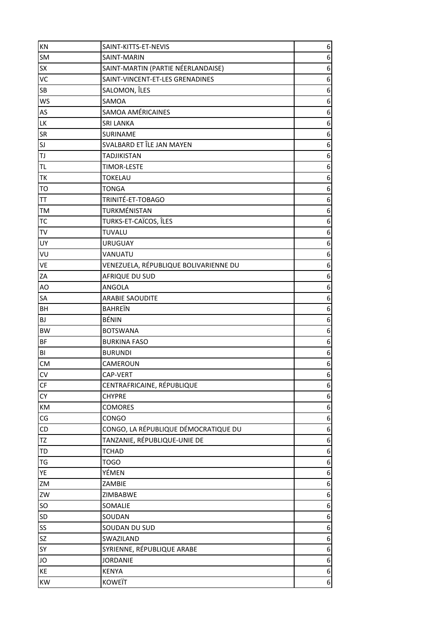| KN                       | SAINT-KITTS-ET-NEVIS                  | $\boldsymbol{6}$ |
|--------------------------|---------------------------------------|------------------|
| SM                       | SAINT-MARIN                           | 6                |
| SX                       | SAINT-MARTIN (PARTIE NÉERLANDAISE)    | 6                |
| VC                       | SAINT-VINCENT-ET-LES GRENADINES       | 6                |
| SB                       | SALOMON, ÎLES                         | 6                |
| <b>WS</b>                | SAMOA                                 | 6                |
| AS                       | <b>SAMOA AMÉRICAINES</b>              | 6                |
| LK                       | <b>SRI LANKA</b>                      | 6                |
| SR                       | SURINAME                              | 6                |
| SJ                       | SVALBARD ET ÎLE JAN MAYEN             | 6                |
| TJ                       | <b>TADJIKISTAN</b>                    | 6                |
| <b>TL</b>                | <b>TIMOR-LESTE</b>                    | 6                |
| TΚ                       | <b>TOKELAU</b>                        | 6                |
| <b>TO</b>                | <b>TONGA</b>                          | 6                |
| TT                       | TRINITÉ-ET-TOBAGO                     | 6                |
| TM                       | TURKMÉNISTAN                          | 6                |
| <b>TC</b>                | TURKS-ET-CAÏCOS, ÎLES                 | 6                |
| ${\sf TV}$               | TUVALU                                | 6                |
| UY                       | <b>URUGUAY</b>                        | 6                |
| VU                       | VANUATU                               | 6                |
| VE                       | VENEZUELA, RÉPUBLIQUE BOLIVARIENNE DU | $\boldsymbol{6}$ |
| ZA                       | AFRIQUE DU SUD                        | 6                |
| AO                       | ANGOLA                                | 6                |
| SA                       | <b>ARABIE SAOUDITE</b>                | 6                |
| BH                       | <b>BAHREIN</b>                        | 6                |
| BJ                       | <b>BÉNIN</b>                          | 6                |
| <b>BW</b>                | <b>BOTSWANA</b>                       | 6                |
| BF                       | <b>BURKINA FASO</b>                   | 6                |
| BI                       | <b>BURUNDI</b>                        | 6                |
| <b>CM</b>                | CAMEROUN                              | 6                |
| CV                       | CAP-VERT                              | $6 \mid$         |
| $\mathsf{C}\mathsf{F}$   | CENTRAFRICAINE, RÉPUBLIQUE            | 6                |
| CY                       | <b>CHYPRE</b>                         | 6                |
| KM                       | <b>COMORES</b>                        | $\boldsymbol{6}$ |
| $\mathsf{CG}\phantom{.}$ | CONGO                                 | $\boldsymbol{6}$ |
| CD                       | CONGO, LA RÉPUBLIQUE DÉMOCRATIQUE DU  | 6                |
| TZ                       | TANZANIE, RÉPUBLIQUE-UNIE DE          | 6                |
| TD                       | <b>TCHAD</b>                          | 6                |
| TG                       | <b>TOGO</b>                           | 6                |
| YE                       | YÉMEN                                 | 6                |
| ZM                       | ZAMBIE                                | $\boldsymbol{6}$ |
| ZW                       | ZIMBABWE                              | 6                |
| SO                       | SOMALIE                               | 6                |
| SD                       | SOUDAN                                | 6                |
| SS                       | SOUDAN DU SUD                         | 6                |
| SZ                       | SWAZILAND                             | 6                |
| SY                       | SYRIENNE, RÉPUBLIQUE ARABE            | $\boldsymbol{6}$ |
| JO                       | <b>JORDANIE</b>                       | $\boldsymbol{6}$ |
| KE                       | <b>KENYA</b>                          | $\boldsymbol{6}$ |
| KW                       | <b>KOWEIT</b>                         | $6 \mid$         |
|                          |                                       |                  |